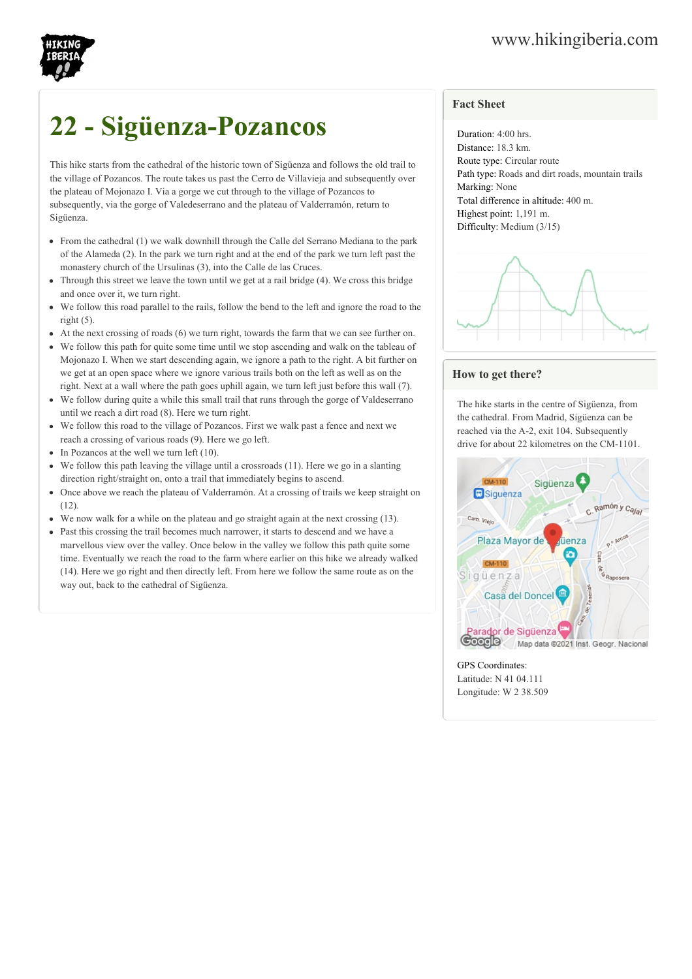

## **22 - Sigüenza-Pozancos**

This hike starts from the cathedral of the historic town of Sigüenza and follows the old trail to the village of Pozancos. The route takes us past the Cerro de Villavieja and subsequently over the plateau of Mojonazo I. Via a gorge we cut through to the village of Pozancos to subsequently, via the gorge of Valedeserrano and the plateau of Valderramón, return to Sigüenza.

- From the cathedral (1) we walk downhill through the Calle del Serrano Mediana to the park of the Alameda (2). In the park we turn right and at the end of the park we turn left past the monastery church of the Ursulinas (3), into the Calle de las Cruces.
- Through this street we leave the town until we get at a rail bridge (4). We cross this bridge and once over it, we turn right.
- We follow this road parallel to the rails, follow the bend to the left and ignore the road to the right  $(5)$ .
- At the next crossing of roads (6) we turn right, towards the farm that we can see further on.
- We follow this path for quite some time until we stop ascending and walk on the tableau of Mojonazo I. When we start descending again, we ignore a path to the right. A bit further on we get at an open space where we ignore various trails both on the left as well as on the right. Next at a wall where the path goes uphill again, we turn left just before this wall (7).
- We follow during quite a while this small trail that runs through the gorge of Valdeserrano  $\bullet$ until we reach a dirt road (8). Here we turn right.
- We follow this road to the village of Pozancos. First we walk past a fence and next we  $\bullet$ reach a crossing of various roads (9). Here we go left.
- $\bullet$  In Pozancos at the well we turn left (10).
- We follow this path leaving the village until a crossroads (11). Here we go in a slanting direction right/straight on, onto a trail that immediately begins to ascend.
- Once above we reach the plateau of Valderramón. At a crossing of trails we keep straight on  $(12)$ .
- We now walk for a while on the plateau and go straight again at the next crossing (13).
- Past this crossing the trail becomes much narrower, it starts to descend and we have a marvellous view over the valley. Once below in the valley we follow this path quite some time. Eventually we reach the road to the farm where earlier on this hike we already walked (14). Here we go right and then directly left. From here we follow the same route as on the way out, back to the cathedral of Sigüenza.

## **Fact Sheet**

Duration: 4:00 hrs. Distance: 18.3 km. Route type: Circular route Path type: Roads and dirt roads, mountain trails Marking: None Total difference in altitude: 400 m. Highest point: 1,191 m. Difficulty: Medium (3/15)



## **How to get there?**

The hike starts in the centre of Sigüenza, from the cathedral. From Madrid, Sigüenza can be reached via the A-2, exit 104. Subsequently drive for about 22 kilometres on the CM-1101.



## GPS Coordinates:

Latitude: N 41 04.111 Longitude: W 2 38.509